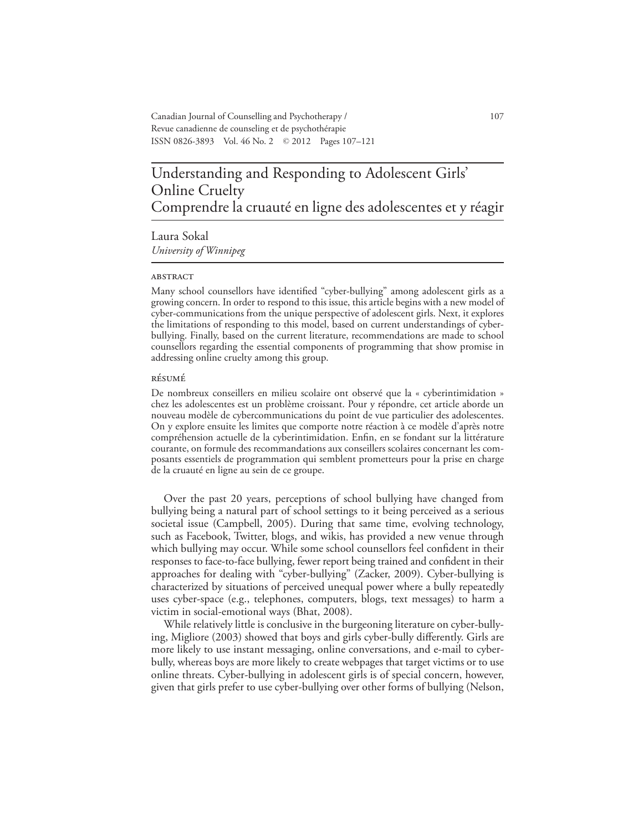Canadian Journal of Counselling and Psychotherapy / 107 Revue canadienne de counseling et de psychothérapie ISSN 0826-3893 Vol. 46 No. 2 © 2012 Pages 107–121

# Understanding and Responding to Adolescent Girls' Online Cruelty Comprendre la cruauté en ligne des adolescentes et y réagir

Laura Sokal *University of Winnipeg*

#### **ABSTRACT**

Many school counsellors have identified "cyber-bullying" among adolescent girls as a growing concern. In order to respond to this issue, this article begins with a new model of cyber-communications from the unique perspective of adolescent girls. Next, it explores the limitations of responding to this model, based on current understandings of cyberbullying. Finally, based on the current literature, recommendations are made to school counsellors regarding the essential components of programming that show promise in addressing online cruelty among this group.

#### résumé

De nombreux conseillers en milieu scolaire ont observé que la « cyberintimidation » chez les adolescentes est un problème croissant. Pour y répondre, cet article aborde un nouveau modèle de cybercommunications du point de vue particulier des adolescentes. On y explore ensuite les limites que comporte notre réaction à ce modèle d'après notre compréhension actuelle de la cyberintimidation. Enfin, en se fondant sur la littérature courante, on formule des recommandations aux conseillers scolaires concernant les composants essentiels de programmation qui semblent prometteurs pour la prise en charge de la cruauté en ligne au sein de ce groupe.

Over the past 20 years, perceptions of school bullying have changed from bullying being a natural part of school settings to it being perceived as a serious societal issue (Campbell, 2005). During that same time, evolving technology, such as Facebook, Twitter, blogs, and wikis, has provided a new venue through which bullying may occur. While some school counsellors feel confident in their responses to face-to-face bullying, fewer report being trained and confident in their approaches for dealing with "cyber-bullying" (Zacker, 2009). Cyber-bullying is characterized by situations of perceived unequal power where a bully repeatedly uses cyber-space (e.g., telephones, computers, blogs, text messages) to harm a victim in social-emotional ways (Bhat, 2008).

While relatively little is conclusive in the burgeoning literature on cyber-bullying, Migliore (2003) showed that boys and girls cyber-bully differently. Girls are more likely to use instant messaging, online conversations, and e-mail to cyberbully, whereas boys are more likely to create webpages that target victims or to use online threats. Cyber-bullying in adolescent girls is of special concern, however, given that girls prefer to use cyber-bullying over other forms of bullying (Nelson,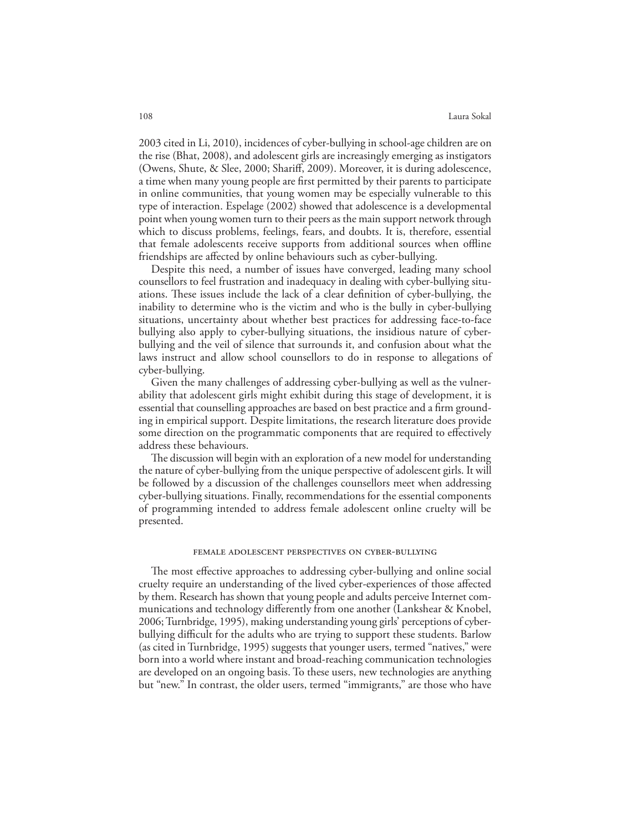#### 108 Laura Sokal

2003 cited in Li, 2010), incidences of cyber-bullying in school-age children are on the rise (Bhat, 2008), and adolescent girls are increasingly emerging as instigators (Owens, Shute, & Slee, 2000; Shariff, 2009). Moreover, it is during adolescence, a time when many young people are first permitted by their parents to participate in online communities, that young women may be especially vulnerable to this type of interaction. Espelage (2002) showed that adolescence is a developmental point when young women turn to their peers as the main support network through which to discuss problems, feelings, fears, and doubts. It is, therefore, essential that female adolescents receive supports from additional sources when offline friendships are affected by online behaviours such as cyber-bullying.

Despite this need, a number of issues have converged, leading many school counsellors to feel frustration and inadequacy in dealing with cyber-bullying situations. These issues include the lack of a clear definition of cyber-bullying, the inability to determine who is the victim and who is the bully in cyber-bullying situations, uncertainty about whether best practices for addressing face-to-face bullying also apply to cyber-bullying situations, the insidious nature of cyberbullying and the veil of silence that surrounds it, and confusion about what the laws instruct and allow school counsellors to do in response to allegations of cyber-bullying.

Given the many challenges of addressing cyber-bullying as well as the vulnerability that adolescent girls might exhibit during this stage of development, it is essential that counselling approaches are based on best practice and a firm grounding in empirical support. Despite limitations, the research literature does provide some direction on the programmatic components that are required to effectively address these behaviours.

The discussion will begin with an exploration of a new model for understanding the nature of cyber-bullying from the unique perspective of adolescent girls. It will be followed by a discussion of the challenges counsellors meet when addressing cyber-bullying situations. Finally, recommendations for the essential components of programming intended to address female adolescent online cruelty will be presented.

#### female adolescent perspectives on cyber-bullying

The most effective approaches to addressing cyber-bullying and online social cruelty require an understanding of the lived cyber-experiences of those affected by them. Research has shown that young people and adults perceive Internet communications and technology differently from one another (Lankshear & Knobel, 2006; Turnbridge, 1995), making understanding young girls' perceptions of cyberbullying difficult for the adults who are trying to support these students. Barlow (as cited in Turnbridge, 1995) suggests that younger users, termed "natives," were born into a world where instant and broad-reaching communication technologies are developed on an ongoing basis. To these users, new technologies are anything but "new." In contrast, the older users, termed "immigrants," are those who have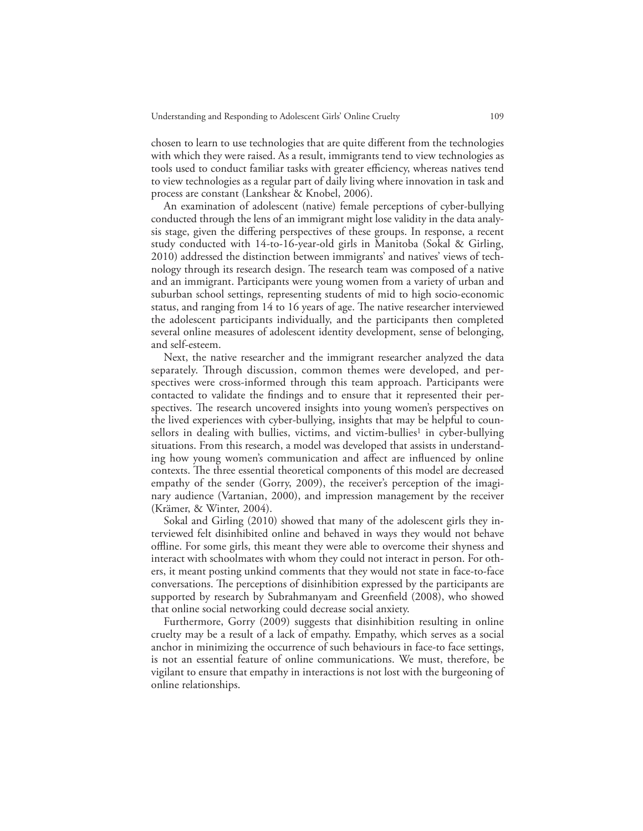chosen to learn to use technologies that are quite different from the technologies with which they were raised. As a result, immigrants tend to view technologies as tools used to conduct familiar tasks with greater efficiency, whereas natives tend to view technologies as a regular part of daily living where innovation in task and process are constant (Lankshear & Knobel, 2006).

An examination of adolescent (native) female perceptions of cyber-bullying conducted through the lens of an immigrant might lose validity in the data analysis stage, given the differing perspectives of these groups. In response, a recent study conducted with 14-to-16-year-old girls in Manitoba (Sokal & Girling, 2010) addressed the distinction between immigrants' and natives' views of technology through its research design. The research team was composed of a native and an immigrant. Participants were young women from a variety of urban and suburban school settings, representing students of mid to high socio-economic status, and ranging from 14 to 16 years of age. The native researcher interviewed the adolescent participants individually, and the participants then completed several online measures of adolescent identity development, sense of belonging, and self-esteem.

Next, the native researcher and the immigrant researcher analyzed the data separately. Through discussion, common themes were developed, and perspectives were cross-informed through this team approach. Participants were contacted to validate the findings and to ensure that it represented their perspectives. The research uncovered insights into young women's perspectives on the lived experiences with cyber-bullying, insights that may be helpful to counsellors in dealing with bullies, victims, and victim-bullies<sup>1</sup> in cyber-bullying situations. From this research, a model was developed that assists in understanding how young women's communication and affect are influenced by online contexts. The three essential theoretical components of this model are decreased empathy of the sender (Gorry, 2009), the receiver's perception of the imaginary audience (Vartanian, 2000), and impression management by the receiver (Krämer, & Winter, 2004).

Sokal and Girling (2010) showed that many of the adolescent girls they interviewed felt disinhibited online and behaved in ways they would not behave offline. For some girls, this meant they were able to overcome their shyness and interact with schoolmates with whom they could not interact in person. For others, it meant posting unkind comments that they would not state in face-to-face conversations. The perceptions of disinhibition expressed by the participants are supported by research by Subrahmanyam and Greenfield (2008), who showed that online social networking could decrease social anxiety.

Furthermore, Gorry (2009) suggests that disinhibition resulting in online cruelty may be a result of a lack of empathy. Empathy, which serves as a social anchor in minimizing the occurrence of such behaviours in face-to face settings, is not an essential feature of online communications. We must, therefore, be vigilant to ensure that empathy in interactions is not lost with the burgeoning of online relationships.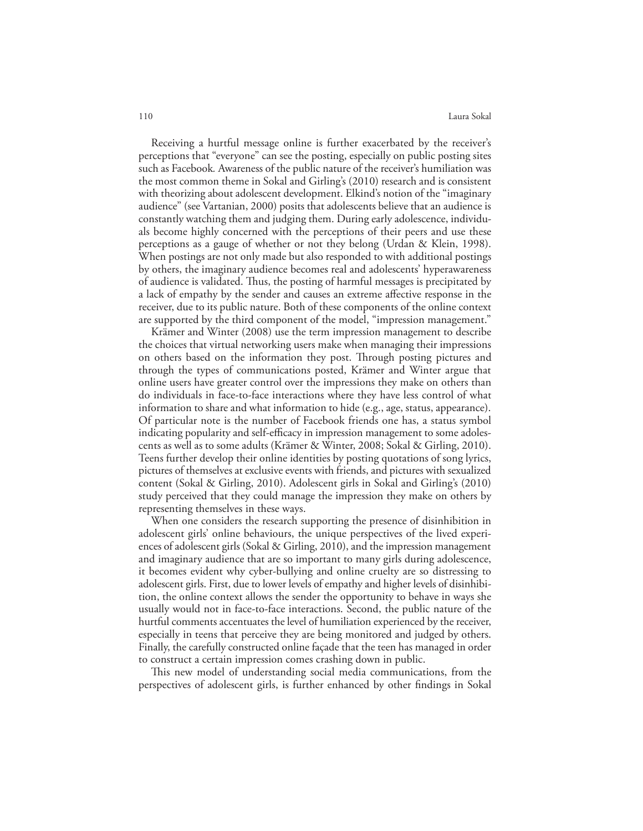Receiving a hurtful message online is further exacerbated by the receiver's perceptions that "everyone" can see the posting, especially on public posting sites such as Facebook*.* Awareness of the public nature of the receiver's humiliation was the most common theme in Sokal and Girling's (2010) research and is consistent with theorizing about adolescent development. Elkind's notion of the "imaginary audience" (see Vartanian, 2000) posits that adolescents believe that an audience is constantly watching them and judging them. During early adolescence, individuals become highly concerned with the perceptions of their peers and use these perceptions as a gauge of whether or not they belong (Urdan & Klein, 1998). When postings are not only made but also responded to with additional postings by others, the imaginary audience becomes real and adolescents' hyperawareness of audience is validated. Thus, the posting of harmful messages is precipitated by a lack of empathy by the sender and causes an extreme affective response in the receiver, due to its public nature. Both of these components of the online context are supported by the third component of the model, "impression management."

Krämer and Winter (2008) use the term impression management to describe the choices that virtual networking users make when managing their impressions on others based on the information they post. Through posting pictures and through the types of communications posted, Krämer and Winter argue that online users have greater control over the impressions they make on others than do individuals in face-to-face interactions where they have less control of what information to share and what information to hide (e.g., age, status, appearance). Of particular note is the number of Facebook friends one has, a status symbol indicating popularity and self-efficacy in impression management to some adolescents as well as to some adults (Krämer & Winter, 2008; Sokal & Girling, 2010). Teens further develop their online identities by posting quotations of song lyrics, pictures of themselves at exclusive events with friends, and pictures with sexualized content (Sokal & Girling, 2010). Adolescent girls in Sokal and Girling's (2010) study perceived that they could manage the impression they make on others by representing themselves in these ways.

When one considers the research supporting the presence of disinhibition in adolescent girls' online behaviours, the unique perspectives of the lived experiences of adolescent girls (Sokal & Girling, 2010), and the impression management and imaginary audience that are so important to many girls during adolescence, it becomes evident why cyber-bullying and online cruelty are so distressing to adolescent girls. First, due to lower levels of empathy and higher levels of disinhibition, the online context allows the sender the opportunity to behave in ways she usually would not in face-to-face interactions. Second, the public nature of the hurtful comments accentuates the level of humiliation experienced by the receiver, especially in teens that perceive they are being monitored and judged by others. Finally, the carefully constructed online façade that the teen has managed in order to construct a certain impression comes crashing down in public.

This new model of understanding social media communications, from the perspectives of adolescent girls, is further enhanced by other findings in Sokal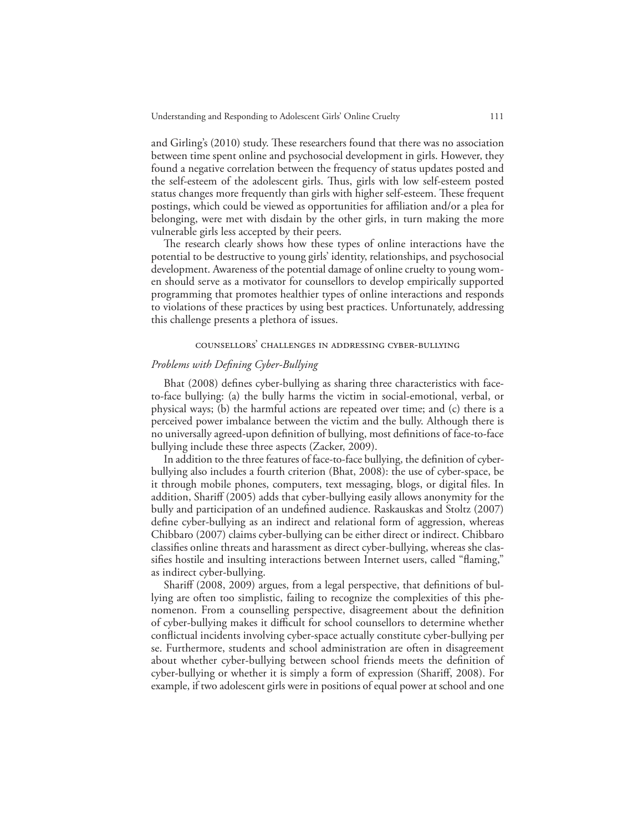and Girling's (2010) study. These researchers found that there was no association between time spent online and psychosocial development in girls. However, they found a negative correlation between the frequency of status updates posted and the self-esteem of the adolescent girls. Thus, girls with low self-esteem posted status changes more frequently than girls with higher self-esteem. These frequent postings, which could be viewed as opportunities for affiliation and/or a plea for belonging, were met with disdain by the other girls, in turn making the more vulnerable girls less accepted by their peers.

The research clearly shows how these types of online interactions have the potential to be destructive to young girls' identity, relationships, and psychosocial development. Awareness of the potential damage of online cruelty to young women should serve as a motivator for counsellors to develop empirically supported programming that promotes healthier types of online interactions and responds to violations of these practices by using best practices. Unfortunately, addressing this challenge presents a plethora of issues.

#### counsellors' challenges in addressing cyber-bullying

## *Problems with Defining Cyber-Bullying*

Bhat (2008) defines cyber-bullying as sharing three characteristics with faceto-face bullying: (a) the bully harms the victim in social-emotional, verbal, or physical ways; (b) the harmful actions are repeated over time; and (c) there is a perceived power imbalance between the victim and the bully. Although there is no universally agreed-upon definition of bullying, most definitions of face-to-face bullying include these three aspects (Zacker, 2009).

In addition to the three features of face-to-face bullying, the definition of cyberbullying also includes a fourth criterion (Bhat, 2008): the use of cyber-space, be it through mobile phones, computers, text messaging, blogs, or digital files. In addition, Shariff (2005) adds that cyber-bullying easily allows anonymity for the bully and participation of an undefined audience. Raskauskas and Stoltz (2007) define cyber-bullying as an indirect and relational form of aggression, whereas Chibbaro (2007) claims cyber-bullying can be either direct or indirect. Chibbaro classifies online threats and harassment as direct cyber-bullying, whereas she classifies hostile and insulting interactions between Internet users, called "flaming," as indirect cyber-bullying.

Shariff (2008, 2009) argues, from a legal perspective, that definitions of bullying are often too simplistic, failing to recognize the complexities of this phenomenon. From a counselling perspective, disagreement about the definition of cyber-bullying makes it difficult for school counsellors to determine whether conflictual incidents involving cyber-space actually constitute cyber-bullying per se. Furthermore, students and school administration are often in disagreement about whether cyber-bullying between school friends meets the definition of cyber-bullying or whether it is simply a form of expression (Shariff, 2008). For example, if two adolescent girls were in positions of equal power at school and one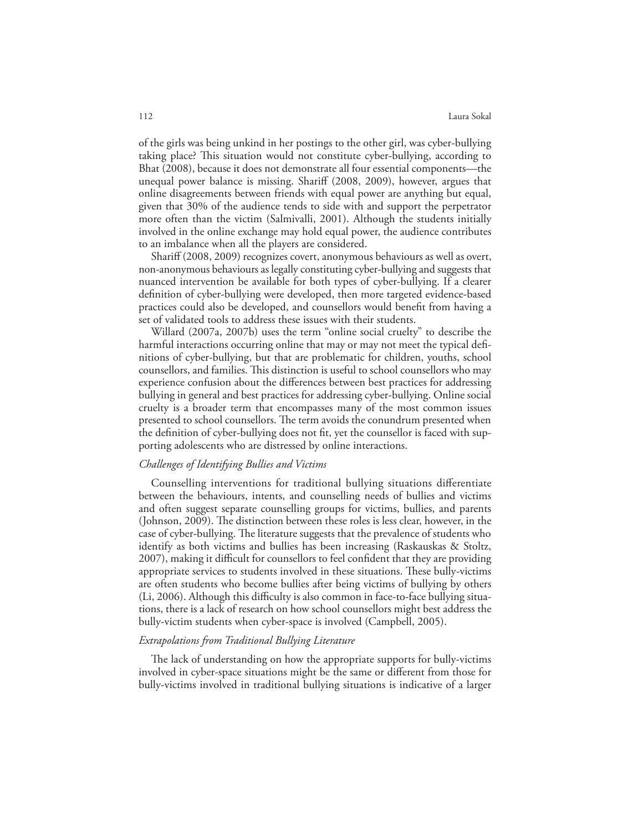#### 112 Laura Sokal

of the girls was being unkind in her postings to the other girl, was cyber-bullying taking place? This situation would not constitute cyber-bullying, according to Bhat (2008), because it does not demonstrate all four essential components—the unequal power balance is missing. Shariff (2008, 2009), however, argues that online disagreements between friends with equal power are anything but equal, given that 30% of the audience tends to side with and support the perpetrator more often than the victim (Salmivalli, 2001). Although the students initially involved in the online exchange may hold equal power, the audience contributes to an imbalance when all the players are considered.

Shariff (2008, 2009) recognizes covert, anonymous behaviours as well as overt, non-anonymous behaviours as legally constituting cyber-bullying and suggests that nuanced intervention be available for both types of cyber-bullying. If a clearer definition of cyber-bullying were developed, then more targeted evidence-based practices could also be developed, and counsellors would benefit from having a set of validated tools to address these issues with their students.

Willard (2007a, 2007b) uses the term "online social cruelty" to describe the harmful interactions occurring online that may or may not meet the typical definitions of cyber-bullying, but that are problematic for children, youths, school counsellors, and families. This distinction is useful to school counsellors who may experience confusion about the differences between best practices for addressing bullying in general and best practices for addressing cyber-bullying. Online social cruelty is a broader term that encompasses many of the most common issues presented to school counsellors. The term avoids the conundrum presented when the definition of cyber-bullying does not fit, yet the counsellor is faced with supporting adolescents who are distressed by online interactions.

## *Challenges of Identifying Bullies and Victims*

Counselling interventions for traditional bullying situations differentiate between the behaviours, intents, and counselling needs of bullies and victims and often suggest separate counselling groups for victims, bullies, and parents (Johnson, 2009). The distinction between these roles is less clear, however, in the case of cyber-bullying. The literature suggests that the prevalence of students who identify as both victims and bullies has been increasing (Raskauskas & Stoltz, 2007), making it difficult for counsellors to feel confident that they are providing appropriate services to students involved in these situations. These bully-victims are often students who become bullies after being victims of bullying by others (Li, 2006). Although this difficulty is also common in face-to-face bullying situations, there is a lack of research on how school counsellors might best address the bully-victim students when cyber-space is involved (Campbell, 2005).

## *Extrapolations from Traditional Bullying Literature*

The lack of understanding on how the appropriate supports for bully-victims involved in cyber-space situations might be the same or different from those for bully-victims involved in traditional bullying situations is indicative of a larger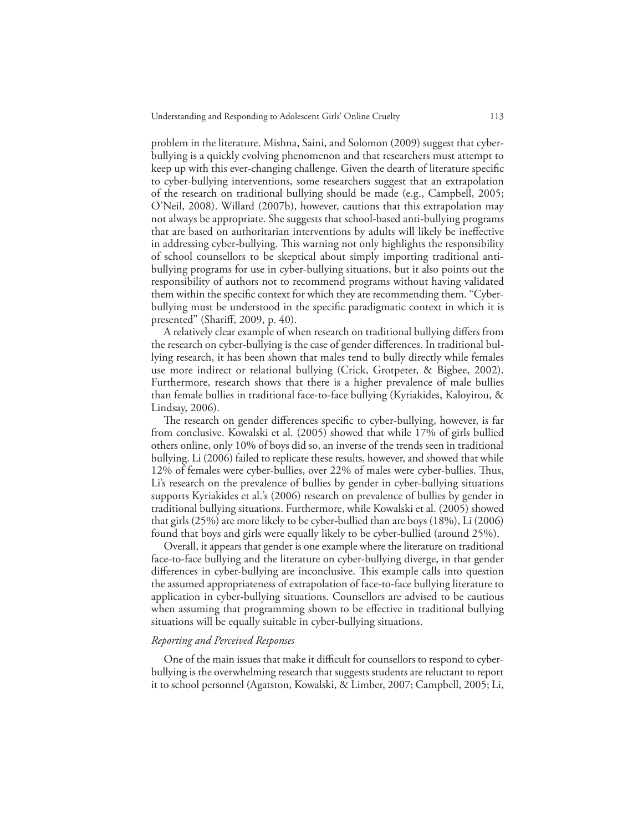problem in the literature. Mishna, Saini, and Solomon (2009) suggest that cyberbullying is a quickly evolving phenomenon and that researchers must attempt to keep up with this ever-changing challenge. Given the dearth of literature specific to cyber-bullying interventions, some researchers suggest that an extrapolation of the research on traditional bullying should be made (e.g., Campbell, 2005; O'Neil, 2008). Willard (2007b), however, cautions that this extrapolation may not always be appropriate. She suggests that school-based anti-bullying programs that are based on authoritarian interventions by adults will likely be ineffective in addressing cyber-bullying. This warning not only highlights the responsibility of school counsellors to be skeptical about simply importing traditional antibullying programs for use in cyber-bullying situations, but it also points out the responsibility of authors not to recommend programs without having validated them within the specific context for which they are recommending them. "Cyberbullying must be understood in the specific paradigmatic context in which it is presented" (Shariff, 2009, p. 40).

A relatively clear example of when research on traditional bullying differs from the research on cyber-bullying is the case of gender differences. In traditional bullying research, it has been shown that males tend to bully directly while females use more indirect or relational bullying (Crick, Grotpeter, & Bigbee, 2002). Furthermore, research shows that there is a higher prevalence of male bullies than female bullies in traditional face-to-face bullying (Kyriakides, Kaloyirou, & Lindsay, 2006).

The research on gender differences specific to cyber-bullying, however, is far from conclusive. Kowalski et al. (2005) showed that while 17% of girls bullied others online, only 10% of boys did so, an inverse of the trends seen in traditional bullying. Li (2006) failed to replicate these results, however, and showed that while 12% of females were cyber-bullies, over 22% of males were cyber-bullies. Thus, Li's research on the prevalence of bullies by gender in cyber-bullying situations supports Kyriakides et al.'s (2006) research on prevalence of bullies by gender in traditional bullying situations. Furthermore, while Kowalski et al. (2005) showed that girls (25%) are more likely to be cyber-bullied than are boys (18%), Li (2006) found that boys and girls were equally likely to be cyber-bullied (around 25%).

Overall, it appears that gender is one example where the literature on traditional face-to-face bullying and the literature on cyber-bullying diverge, in that gender differences in cyber-bullying are inconclusive. This example calls into question the assumed appropriateness of extrapolation of face-to-face bullying literature to application in cyber-bullying situations. Counsellors are advised to be cautious when assuming that programming shown to be effective in traditional bullying situations will be equally suitable in cyber-bullying situations.

## *Reporting and Perceived Responses*

One of the main issues that make it difficult for counsellors to respond to cyberbullying is the overwhelming research that suggests students are reluctant to report it to school personnel (Agatston, Kowalski, & Limber, 2007; Campbell, 2005; Li,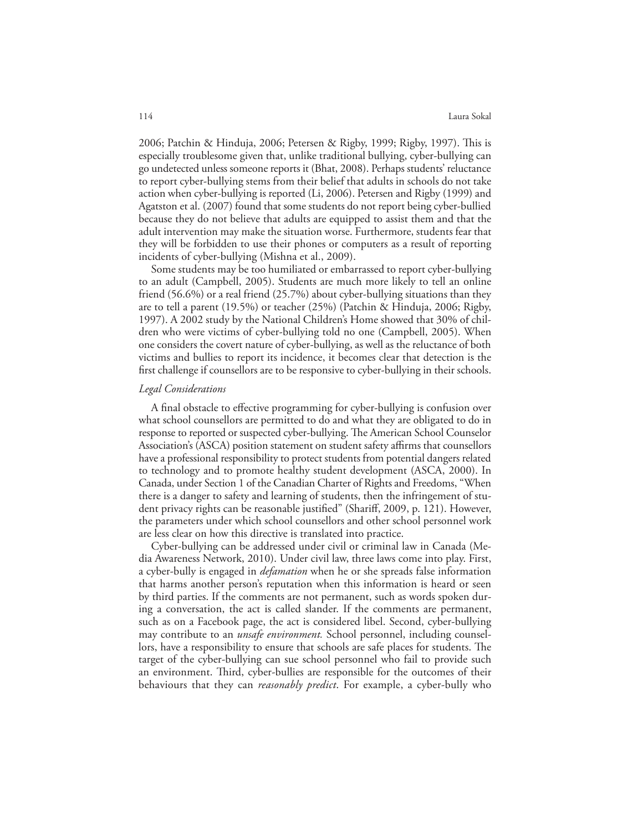2006; Patchin & Hinduja, 2006; Petersen & Rigby, 1999; Rigby, 1997). This is especially troublesome given that, unlike traditional bullying, cyber-bullying can go undetected unless someone reports it (Bhat, 2008). Perhaps students' reluctance to report cyber-bullying stems from their belief that adults in schools do not take action when cyber-bullying is reported (Li, 2006). Petersen and Rigby (1999) and Agatston et al. (2007) found that some students do not report being cyber-bullied because they do not believe that adults are equipped to assist them and that the adult intervention may make the situation worse. Furthermore, students fear that they will be forbidden to use their phones or computers as a result of reporting incidents of cyber-bullying (Mishna et al., 2009).

Some students may be too humiliated or embarrassed to report cyber-bullying to an adult (Campbell, 2005). Students are much more likely to tell an online friend (56.6%) or a real friend (25.7%) about cyber-bullying situations than they are to tell a parent (19.5%) or teacher (25%) (Patchin & Hinduja, 2006; Rigby, 1997). A 2002 study by the National Children's Home showed that 30% of children who were victims of cyber-bullying told no one (Campbell, 2005). When one considers the covert nature of cyber-bullying, as well as the reluctance of both victims and bullies to report its incidence, it becomes clear that detection is the first challenge if counsellors are to be responsive to cyber-bullying in their schools.

#### *Legal Considerations*

A final obstacle to effective programming for cyber-bullying is confusion over what school counsellors are permitted to do and what they are obligated to do in response to reported or suspected cyber-bullying. The American School Counselor Association's (ASCA) position statement on student safety affirms that counsellors have a professional responsibility to protect students from potential dangers related to technology and to promote healthy student development (ASCA, 2000). In Canada, under Section 1 of the Canadian Charter of Rights and Freedoms, "When there is a danger to safety and learning of students, then the infringement of student privacy rights can be reasonable justified" (Shariff, 2009, p. 121). However, the parameters under which school counsellors and other school personnel work are less clear on how this directive is translated into practice.

Cyber-bullying can be addressed under civil or criminal law in Canada (Media Awareness Network, 2010). Under civil law, three laws come into play. First, a cyber-bully is engaged in *defamation* when he or she spreads false information that harms another person's reputation when this information is heard or seen by third parties. If the comments are not permanent, such as words spoken during a conversation, the act is called slander. If the comments are permanent, such as on a Facebook page, the act is considered libel. Second, cyber-bullying may contribute to an *unsafe environment.* School personnel, including counsellors, have a responsibility to ensure that schools are safe places for students. The target of the cyber-bullying can sue school personnel who fail to provide such an environment. Third, cyber-bullies are responsible for the outcomes of their behaviours that they can *reasonably predict*. For example, a cyber-bully who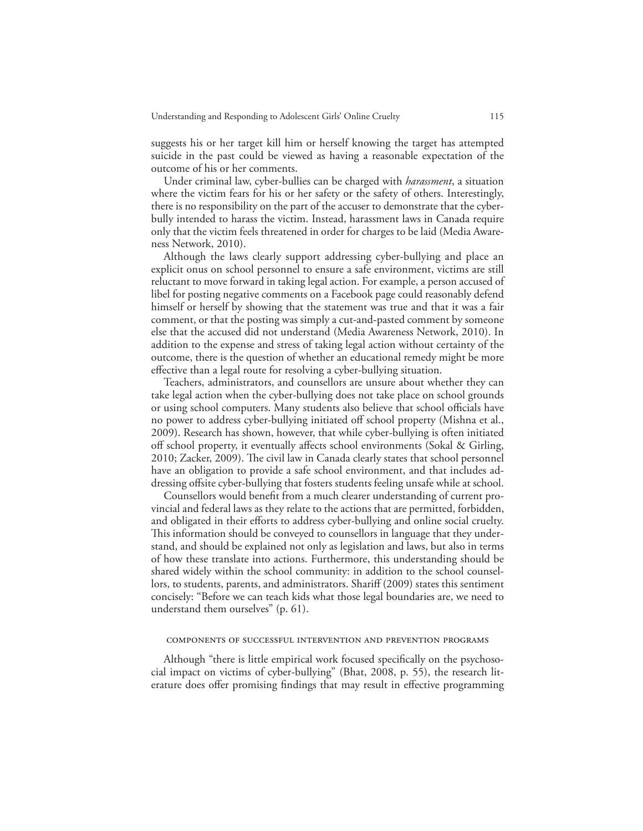suggests his or her target kill him or herself knowing the target has attempted suicide in the past could be viewed as having a reasonable expectation of the outcome of his or her comments.

Under criminal law, cyber-bullies can be charged with *harassment*, a situation where the victim fears for his or her safety or the safety of others. Interestingly, there is no responsibility on the part of the accuser to demonstrate that the cyberbully intended to harass the victim. Instead, harassment laws in Canada require only that the victim feels threatened in order for charges to be laid (Media Awareness Network, 2010).

Although the laws clearly support addressing cyber-bullying and place an explicit onus on school personnel to ensure a safe environment, victims are still reluctant to move forward in taking legal action. For example, a person accused of libel for posting negative comments on a Facebook page could reasonably defend himself or herself by showing that the statement was true and that it was a fair comment, or that the posting was simply a cut-and-pasted comment by someone else that the accused did not understand (Media Awareness Network, 2010). In addition to the expense and stress of taking legal action without certainty of the outcome, there is the question of whether an educational remedy might be more effective than a legal route for resolving a cyber-bullying situation.

Teachers, administrators, and counsellors are unsure about whether they can take legal action when the cyber-bullying does not take place on school grounds or using school computers. Many students also believe that school officials have no power to address cyber-bullying initiated off school property (Mishna et al., 2009). Research has shown, however, that while cyber-bullying is often initiated off school property, it eventually affects school environments (Sokal & Girling, 2010; Zacker, 2009). The civil law in Canada clearly states that school personnel have an obligation to provide a safe school environment, and that includes addressing offsite cyber-bullying that fosters students feeling unsafe while at school.

Counsellors would benefit from a much clearer understanding of current provincial and federal laws as they relate to the actions that are permitted, forbidden, and obligated in their efforts to address cyber-bullying and online social cruelty. This information should be conveyed to counsellors in language that they understand, and should be explained not only as legislation and laws, but also in terms of how these translate into actions. Furthermore, this understanding should be shared widely within the school community: in addition to the school counsellors, to students, parents, and administrators. Shariff (2009) states this sentiment concisely: "Before we can teach kids what those legal boundaries are, we need to understand them ourselves" (p. 61).

## components of successful intervention and prevention programs

Although "there is little empirical work focused specifically on the psychosocial impact on victims of cyber-bullying" (Bhat, 2008, p. 55), the research literature does offer promising findings that may result in effective programming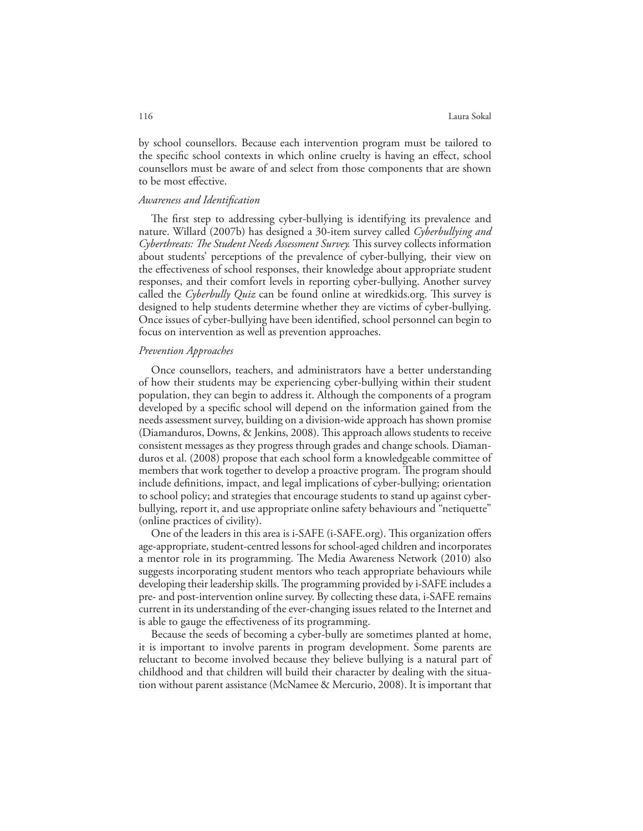by school counsellors. Because each intervention program must be tailored to the specific school contexts in which online cruelty is having an effect, school counsellors must be aware of and select from those components that are shown to be most effective.

## *Awareness and Identification*

The first step to addressing cyber-bullying is identifying its prevalence and nature. Willard (2007b) has designed a 30-item survey called *Cyberbullying and Cyberthreats: The Student Needs Assessment Survey.* This survey collects information about students' perceptions of the prevalence of cyber-bullying, their view on the effectiveness of school responses, their knowledge about appropriate student responses, and their comfort levels in reporting cyber-bullying. Another survey called the *Cyberbully Quiz* can be found online at wiredkids.org. This survey is designed to help students determine whether they are victims of cyber-bullying. Once issues of cyber-bullying have been identified, school personnel can begin to focus on intervention as well as prevention approaches.

## *Prevention Approaches*

Once counsellors, teachers, and administrators have a better understanding of how their students may be experiencing cyber-bullying within their student population, they can begin to address it. Although the components of a program developed by a specific school will depend on the information gained from the needs assessment survey, building on a division-wide approach has shown promise (Diamanduros, Downs, & Jenkins, 2008). This approach allows students to receive consistent messages as they progress through grades and change schools. Diamanduros et al. (2008) propose that each school form a knowledgeable committee of members that work together to develop a proactive program. The program should include definitions, impact, and legal implications of cyber-bullying; orientation to school policy; and strategies that encourage students to stand up against cyberbullying, report it, and use appropriate online safety behaviours and "netiquette" (online practices of civility).

One of the leaders in this area is i-SAFE (i-SAFE.org). This organization offers age-appropriate, student-centred lessons for school-aged children and incorporates a mentor role in its programming. The Media Awareness Network (2010) also suggests incorporating student mentors who teach appropriate behaviours while developing their leadership skills. The programming provided by i-SAFE includes a pre- and post-intervention online survey. By collecting these data, i-SAFE remains current in its understanding of the ever-changing issues related to the Internet and is able to gauge the effectiveness of its programming.

Because the seeds of becoming a cyber-bully are sometimes planted at home, it is important to involve parents in program development. Some parents are reluctant to become involved because they believe bullying is a natural part of childhood and that children will build their character by dealing with the situation without parent assistance (McNamee & Mercurio, 2008). It is important that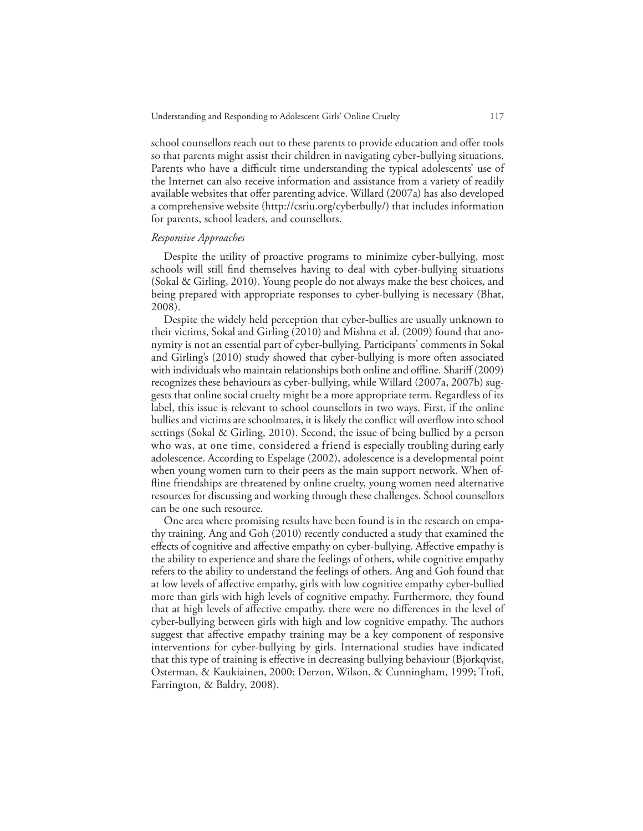school counsellors reach out to these parents to provide education and offer tools so that parents might assist their children in navigating cyber-bullying situations. Parents who have a difficult time understanding the typical adolescents' use of the Internet can also receive information and assistance from a variety of readily available websites that offer parenting advice. Willard (2007a) has also developed a comprehensive website (http://csriu.org/cyberbully/) that includes information for parents, school leaders, and counsellors.

## *Responsive Approaches*

Despite the utility of proactive programs to minimize cyber-bullying, most schools will still find themselves having to deal with cyber-bullying situations (Sokal & Girling, 2010). Young people do not always make the best choices, and being prepared with appropriate responses to cyber-bullying is necessary (Bhat, 2008).

Despite the widely held perception that cyber-bullies are usually unknown to their victims, Sokal and Girling (2010) and Mishna et al. (2009) found that anonymity is not an essential part of cyber-bullying. Participants' comments in Sokal and Girling's (2010) study showed that cyber-bullying is more often associated with individuals who maintain relationships both online and offline*.* Shariff (2009) recognizes these behaviours as cyber-bullying, while Willard (2007a, 2007b) suggests that online social cruelty might be a more appropriate term. Regardless of its label, this issue is relevant to school counsellors in two ways. First, if the online bullies and victims are schoolmates, it is likely the conflict will overflow into school settings (Sokal & Girling, 2010). Second, the issue of being bullied by a person who was, at one time, considered a friend is especially troubling during early adolescence. According to Espelage (2002), adolescence is a developmental point when young women turn to their peers as the main support network. When offline friendships are threatened by online cruelty, young women need alternative resources for discussing and working through these challenges. School counsellors can be one such resource.

One area where promising results have been found is in the research on empathy training. Ang and Goh (2010) recently conducted a study that examined the effects of cognitive and affective empathy on cyber-bullying. Affective empathy is the ability to experience and share the feelings of others, while cognitive empathy refers to the ability to understand the feelings of others. Ang and Goh found that at low levels of affective empathy, girls with low cognitive empathy cyber-bullied more than girls with high levels of cognitive empathy. Furthermore, they found that at high levels of affective empathy, there were no differences in the level of cyber-bullying between girls with high and low cognitive empathy. The authors suggest that affective empathy training may be a key component of responsive interventions for cyber-bullying by girls. International studies have indicated that this type of training is effective in decreasing bullying behaviour (Bjorkqvist, Osterman, & Kaukiainen, 2000; Derzon, Wilson, & Cunningham, 1999; Ttofi, Farrington, & Baldry, 2008).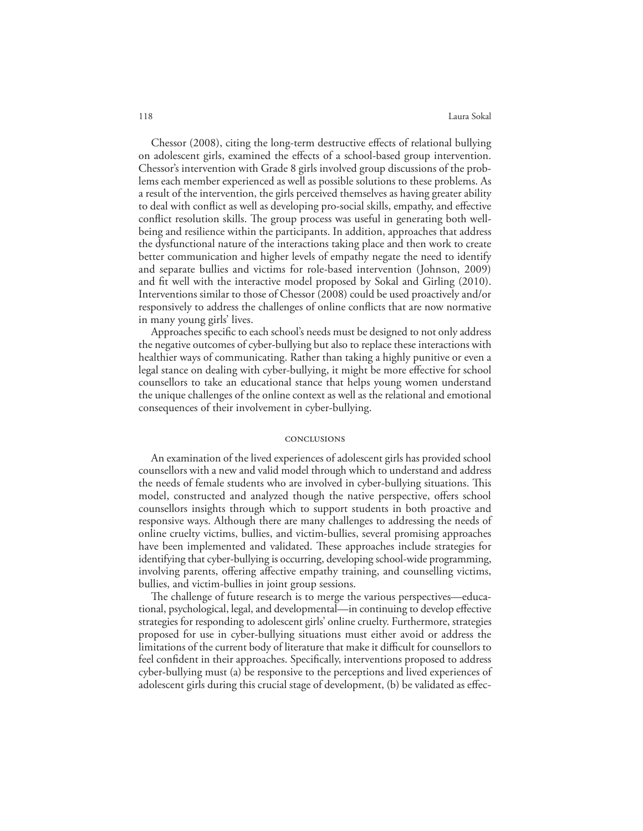Chessor (2008), citing the long-term destructive effects of relational bullying on adolescent girls, examined the effects of a school-based group intervention. Chessor's intervention with Grade 8 girls involved group discussions of the problems each member experienced as well as possible solutions to these problems. As a result of the intervention, the girls perceived themselves as having greater ability to deal with conflict as well as developing pro-social skills, empathy, and effective conflict resolution skills. The group process was useful in generating both wellbeing and resilience within the participants. In addition, approaches that address the dysfunctional nature of the interactions taking place and then work to create better communication and higher levels of empathy negate the need to identify and separate bullies and victims for role-based intervention (Johnson, 2009) and fit well with the interactive model proposed by Sokal and Girling (2010). Interventions similar to those of Chessor (2008) could be used proactively and/or responsively to address the challenges of online conflicts that are now normative in many young girls' lives.

Approaches specific to each school's needs must be designed to not only address the negative outcomes of cyber-bullying but also to replace these interactions with healthier ways of communicating. Rather than taking a highly punitive or even a legal stance on dealing with cyber-bullying, it might be more effective for school counsellors to take an educational stance that helps young women understand the unique challenges of the online context as well as the relational and emotional consequences of their involvement in cyber-bullying.

#### conclusions

An examination of the lived experiences of adolescent girls has provided school counsellors with a new and valid model through which to understand and address the needs of female students who are involved in cyber-bullying situations. This model, constructed and analyzed though the native perspective, offers school counsellors insights through which to support students in both proactive and responsive ways. Although there are many challenges to addressing the needs of online cruelty victims, bullies, and victim-bullies, several promising approaches have been implemented and validated. These approaches include strategies for identifying that cyber-bullying is occurring, developing school-wide programming, involving parents, offering affective empathy training, and counselling victims, bullies, and victim-bullies in joint group sessions.

The challenge of future research is to merge the various perspectives—educational, psychological, legal, and developmental—in continuing to develop effective strategies for responding to adolescent girls' online cruelty. Furthermore, strategies proposed for use in cyber-bullying situations must either avoid or address the limitations of the current body of literature that make it difficult for counsellors to feel confident in their approaches. Specifically, interventions proposed to address cyber-bullying must (a) be responsive to the perceptions and lived experiences of adolescent girls during this crucial stage of development, (b) be validated as effec-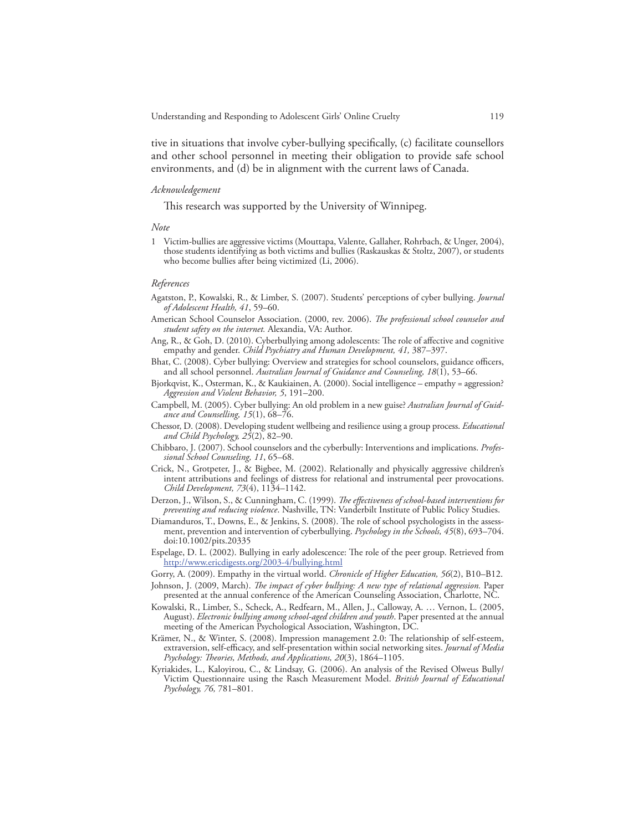tive in situations that involve cyber-bullying specifically, (c) facilitate counsellors and other school personnel in meeting their obligation to provide safe school environments, and (d) be in alignment with the current laws of Canada.

#### *Acknowledgement*

This research was supported by the University of Winnipeg.

*Note*

1 Victim-bullies are aggressive victims (Mouttapa, Valente, Gallaher, Rohrbach, & Unger, 2004), those students identifying as both victims and bullies (Raskauskas & Stoltz, 2007), or students who become bullies after being victimized (Li, 2006).

#### *References*

- Agatston, P., Kowalski, R., & Limber, S. (2007). Students' perceptions of cyber bullying. *Journal of Adolescent Health, 41*, 59–60.
- American School Counselor Association. (2000, rev. 2006). *The professional school counselor and student safety on the internet.* Alexandia, VA: Author.
- Ang, R., & Goh, D. (2010). Cyberbullying among adolescents: The role of affective and cognitive empathy and gender. *Child Psychiatry and Human Development, 41,* 387–397.
- Bhat, C. (2008). Cyber bullying: Overview and strategies for school counselors, guidance officers, and all school personnel. *Australian Journal of Guidance and Counseling, 18*(1), 53–66.
- Bjorkqvist, K., Osterman, K., & Kaukiainen, A. (2000). Social intelligence empathy = aggression? *Aggression and Violent Behavior, 5*, 191–200.
- Campbell, M. (2005). Cyber bullying: An old problem in a new guise? *Australian Journal of Guidance and Counselling, 15*(1), 68–76.
- Chessor, D. (2008). Developing student wellbeing and resilience using a group process. *Educational and Child Psychology, 25*(2), 82–90.
- Chibbaro, J. (2007). School counselors and the cyberbully: Interventions and implications. *Professional School Counseling, 11*, 65–68.
- Crick, N., Grotpeter, J., & Bigbee, M. (2002). Relationally and physically aggressive children's intent attributions and feelings of distress for relational and instrumental peer provocations. *Child Development, 73*(4), 1134–1142.
- Derzon, J., Wilson, S., & Cunningham, C. (1999). *The effectiveness of school-based interventions for preventing and reducing violence*. Nashville, TN: Vanderbilt Institute of Public Policy Studies.
- Diamanduros, T., Downs, E., & Jenkins, S. (2008). The role of school psychologists in the assessment, prevention and intervention of cyberbullying. *Psychology in the Schools, 45*(8), 693–704. doi:10.1002/pits.20335
- Espelage, D. L. (2002). Bullying in early adolescence: The role of the peer group. Retrieved from http://www.ericdigests.org/2003-4/bullying.html
- Gorry, A. (2009). Empathy in the virtual world. *Chronicle of Higher Education, 56*(2), B10–B12.
- Johnson, J. (2009, March). *The impact of cyber bullying: A new type of relational aggression.* Paper presented at the annual conference of the American Counseling Association, Charlotte, NC.
- Kowalski, R., Limber, S., Scheck, A., Redfearn, M., Allen, J., Calloway, A. … Vernon, L. (2005, August). *Electronic bullying among school-aged children and youth*. Paper presented at the annual meeting of the American Psychological Association, Washington, DC.
- Krämer, N., & Winter, S. (2008). Impression management 2.0: The relationship of self-esteem, extraversion, self-efficacy, and self-presentation within social networking sites. *Journal of Media Psychology: Theories, Methods, and Applications, 20*(3), 1864–1105.
- Kyriakides, L., Kaloyirou, C., & Lindsay, G. (2006). An analysis of the Revised Olweus Bully/ Victim Questionnaire using the Rasch Measurement Model. *British Journal of Educational Psychology, 76,* 781–801.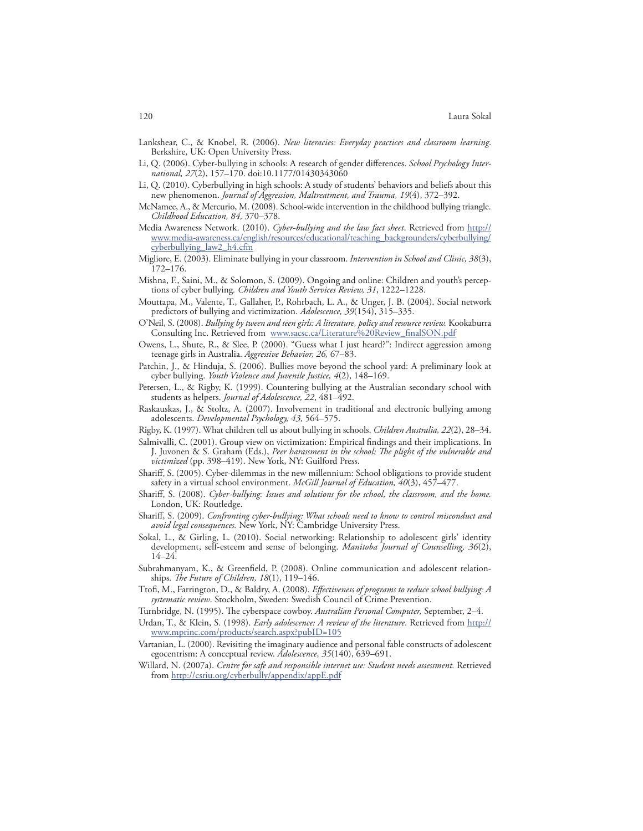- Lankshear, C., & Knobel, R. (2006). *New literacies: Everyday practices and classroom learning*. Berkshire, UK: Open University Press.
- Li, Q. (2006). Cyber-bullying in schools: A research of gender differences. *School Psychology International, 27*(2), 157–170. doi:10.1177/01430343060
- Li, Q. (2010). Cyberbullying in high schools: A study of students' behaviors and beliefs about this new phenomenon. *Journal of Aggression, Maltreatment, and Trauma, 19*(4), 372–392.
- McNamee, A., & Mercurio, M. (2008). School-wide intervention in the childhood bullying triangle. *Childhood Education, 84,* 370–378.
- Media Awareness Network. (2010). *Cyber-bullying and the law fact sheet*. Retrieved from http:// www.media-awareness.ca/english/resources/educational/teaching\_backgrounders/cyberbullying/ cyberbullying\_law2\_h4.cfm
- Migliore, E. (2003). Eliminate bullying in your classroom. *Intervention in School and Clinic, 38*(3), 172–176.
- Mishna, F., Saini, M., & Solomon, S. (2009). Ongoing and online: Children and youth's perceptions of cyber bullying*. Children and Youth Services Review, 31*, 1222–1228.
- Mouttapa, M., Valente, T., Gallaher, P., Rohrbach, L. A., & Unger, J. B. (2004). Social network predictors of bullying and victimization. *Adolescence, 39*(154), 315–335.
- O'Neil, S. (2008). *Bullying by tween and teen girls: A literature, policy and resource review.* Kookaburra Consulting Inc. Retrieved from www.sacsc.ca/Literature%20Review\_finalSON.pdf
- Owens, L., Shute, R., & Slee, P. (2000). "Guess what I just heard?": Indirect aggression among teenage girls in Australia. *Aggressive Behavior, 26,* 67–83.
- Patchin, J., & Hinduja, S. (2006). Bullies move beyond the school yard: A preliminary look at cyber bullying. *Youth Violence and Juvenile Justice, 4*(2), 148–169.
- Petersen, L., & Rigby, K. (1999). Countering bullying at the Australian secondary school with students as helpers. *Journal of Adolescence, 22*, 481–492.
- Raskauskas, J., & Stoltz, A. (2007). Involvement in traditional and electronic bullying among adolescents. *Developmental Psychology, 43,* 564–575.
- Rigby, K. (1997). What children tell us about bullying in schools. *Children Australia, 22*(2), 28–34.
- Salmivalli, C. (2001). Group view on victimization: Empirical findings and their implications. In J. Juvonen & S. Graham (Eds.), *Peer harassment in the school: The plight of the vulnerable and victimized* (pp. 398–419). New York, NY: Guilford Press.
- Shariff, S. (2005). Cyber-dilemmas in the new millennium: School obligations to provide student safety in a virtual school environment. *McGill Journal of Education, 40*(3), 457–477.
- Shariff, S. (2008). *Cyber-bullying: Issues and solutions for the school, the classroom, and the home.*  London, UK: Routledge.
- Shariff, S. (2009). *Confronting cyber-bullying: What schools need to know to control misconduct and avoid legal consequences.* New York, NY: Cambridge University Press.
- Sokal, L., & Girling, L. (2010). Social networking: Relationship to adolescent girls' identity development, self-esteem and sense of belonging. *Manitoba Journal of Counselling, 36*(2), 14–24.
- Subrahmanyam, K., & Greenfield, P. (2008). Online communication and adolescent relationships*. The Future of Children, 18*(1), 119–146.
- Ttofi, M., Farrington, D., & Baldry, A. (2008). *Effectiveness of programs to reduce school bullying: A systematic review*. Stockholm, Sweden: Swedish Council of Crime Prevention.
- Turnbridge, N. (1995). The cyberspace cowboy. *Australian Personal Computer,* September, 2–4.
- Urdan, T., & Klein, S. (1998). *Early adolescence: A review of the literature*. Retrieved from http:// www.mprinc.com/products/search.aspx?pubID=105
- Vartanian, L. (2000). Revisiting the imaginary audience and personal fable constructs of adolescent egocentrism: A conceptual review. *Adolescence, 35*(140), 639–691.
- Willard, N. (2007a). *Centre for safe and responsible internet use: Student needs assessment.* Retrieved from http://csriu.org/cyberbully/appendix/appE.pdf